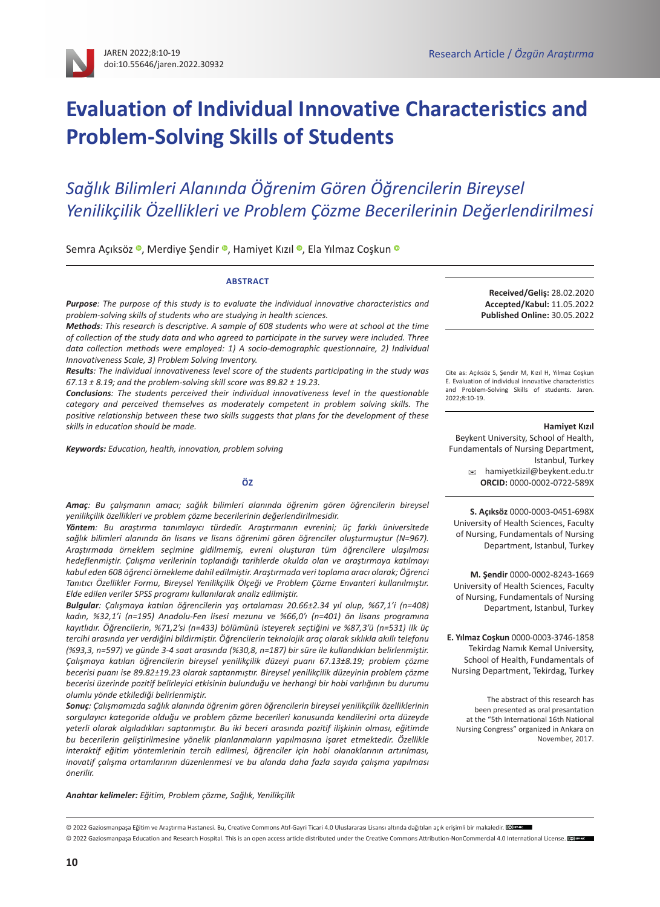# **Evaluation of Individual Innovative Characteristics and Problem-Solving Skills of Students**

# *Sağlık Bilimleri Alanında Öğrenim Gören Öğrencilerin Bireysel Yenilikçilik Özellikleri ve Problem Çözme Becerilerinin Değerlendirilmesi*

Semra Açıksöz ·, Merdiye Şendir ·, Hamiyet Kızıl ·, Ela Yılmaz Coşku[n](https://orcid.org/0000-0003-3746-1858) ·

#### **ABSTRACT**

*Purpose: The purpose of this study is to evaluate the individual innovative characteristics and problem-solving skills of students who are studying in health sciences.* 

*Methods: This research is descriptive. A sample of 608 students who were at school at the time of collection of the study data and who agreed to participate in the survey were included. Three data collection methods were employed: 1) A socio-demographic questionnaire, 2) Individual Innovativeness Scale, 3) Problem Solving Inventory.* 

*Results: The individual innovativeness level score of the students participating in the study was 67.13 ± 8.19; and the problem-solving skill score was 89.82 ± 19.23.* 

*Conclusions: The students perceived their individual innovativeness level in the questionable category and perceived themselves as moderately competent in problem solving skills. The positive relationship between these two skills suggests that plans for the development of these skills in education should be made.*

*Keywords: Education, health, innovation, problem solving*

#### **ÖZ**

*Amaç: Bu çalışmanın amacı; sağlık bilimleri alanında öğrenim gören öğrencilerin bireysel yenilikçilik özellikleri ve problem çözme becerilerinin değerlendirilmesidir.*

*Yöntem: Bu araştırma tanımlayıcı türdedir. Araştırmanın evrenini; üç farklı üniversitede sağlık bilimleri alanında ön lisans ve lisans öğrenimi gören öğrenciler oluşturmuştur (N=967). Araştırmada örneklem seçimine gidilmemiş, evreni oluşturan tüm öğrencilere ulaşılması hedeflenmiştir. Çalışma verilerinin toplandığı tarihlerde okulda olan ve araştırmaya katılmayı kabul eden 608 öğrenci örnekleme dahil edilmiştir. Araştırmada veri toplama aracı olarak; Öğrenci Tanıtıcı Özellikler Formu, Bireysel Yenilikçilik Ölçeği ve Problem Çözme Envanteri kullanılmıştır. Elde edilen veriler SPSS programı kullanılarak analiz edilmiştir.*

*Bulgular: Çalışmaya katılan öğrencilerin yaş ortalaması 20.66±2.34 yıl olup, %67,1'i (n=408) kadın, %32,1'i (n=195) Anadolu-Fen lisesi mezunu ve %66,0'ı (n=401) ön lisans programına kayıtlıdır. Öğrencilerin, %71,2'si (n=433) bölümünü isteyerek seçtiğini ve %87,3'ü (n=531) ilk üç tercihi arasında yer verdiğini bildirmiştir. Öğrencilerin teknolojik araç olarak sıklıkla akıllı telefonu (%93,3, n=597) ve günde 3-4 saat arasında (%30,8, n=187) bir süre ile kullandıkları belirlenmiştir. Çalışmaya katılan öğrencilerin bireysel yenilikçilik düzeyi puanı 67.13±8.19; problem çözme becerisi puanı ise 89.82±19.23 olarak saptanmıştır. Bireysel yenilikçilik düzeyinin problem çözme becerisi üzerinde pozitif belirleyici etkisinin bulunduğu ve herhangi bir hobi varlığının bu durumu olumlu yönde etkilediği belirlenmiştir.*

*Sonuç: Çalışmamızda sağlık alanında öğrenim gören öğrencilerin bireysel yenilikçilik özelliklerinin sorgulayıcı kategoride olduğu ve problem çözme becerileri konusunda kendilerini orta düzeyde yeterli olarak algıladıkları saptanmıştır. Bu iki beceri arasında pozitif ilişkinin olması, eğitimde bu becerilerin geliştirilmesine yönelik planlanmaların yapılmasına işaret etmektedir. Özellikle interaktif eğitim yöntemlerinin tercih edilmesi, öğrenciler için hobi olanaklarının artırılması, inovatif çalışma ortamlarının düzenlenmesi ve bu alanda daha fazla sayıda çalışma yapılması önerilir.*

*Anahtar kelimeler: Eğitim, Problem çözme, Sağlık, Yenilikçilik*

**Received/Geliş:** 28.02.2020 **Accepted/Kabul:** 11.05.2022 **Published Online:** 30.05.2022

Cite as: Açıksöz S, Şendir M, Kızıl H, Yılmaz Coşkun E. Evaluation of individual innovative characteristics and Problem-Solving Skills of students. Jaren. 2022;8:10-19.

#### **Hamiyet Kızıl**

Beykent University, School of Health, Fundamentals of Nursing Department, Istanbul, Turkey [hamiyetkizil@beykent.edu.tr](mailto:hamiyetkizil%40beykent.edu.tr?subject=) **ORCID:** [0000-0002-0722-589X](https://orcid.org/0000-0002-0722-589X)

**S. Açıksöz** [0000-0003-0451-698X](https://orcid.org/0000-0003-0451-698X) University of Health Sciences, Faculty of Nursing, Fundamentals of Nursing Department, Istanbul, Turkey

**M. Şendir** [0000-0002-8243-1669](https://orcid.org/0000-0002-8243-1669) University of Health Sciences, Faculty of Nursing, Fundamentals of Nursing Department, Istanbul, Turkey

**E. Yılmaz Coşkun** [0000-0003-3746-1858](https://orcid.org/0000-0003-3746-1858) Tekirdag Namık Kemal University, School of Health, Fundamentals of Nursing Department, Tekirdag, Turkey

The abstract of this research has been presented as oral presantation at the "5th International 16th National Nursing Congress" organized in Ankara on November, 2017.

© 2022 Gaziosmanpaşa Eğitim ve Araştırma Hastanesi. Bu, [Creative Commons Atıf-Gayri Ticari 4.0 Uluslararası Lisansı](https://creativecommons.org/licenses/by-nc/4.0/deed.tr) altındadağıtılan açık erişimli bir makaledir. **E**bran © 2022 Gaziosmanpasa Education and Research Hospital. This is an open access article distributed under the [Creative Commons Attribution-NonCommercial 4.0 International License.](https://creativecommons.org/licenses/by-nc/4.0/) [@]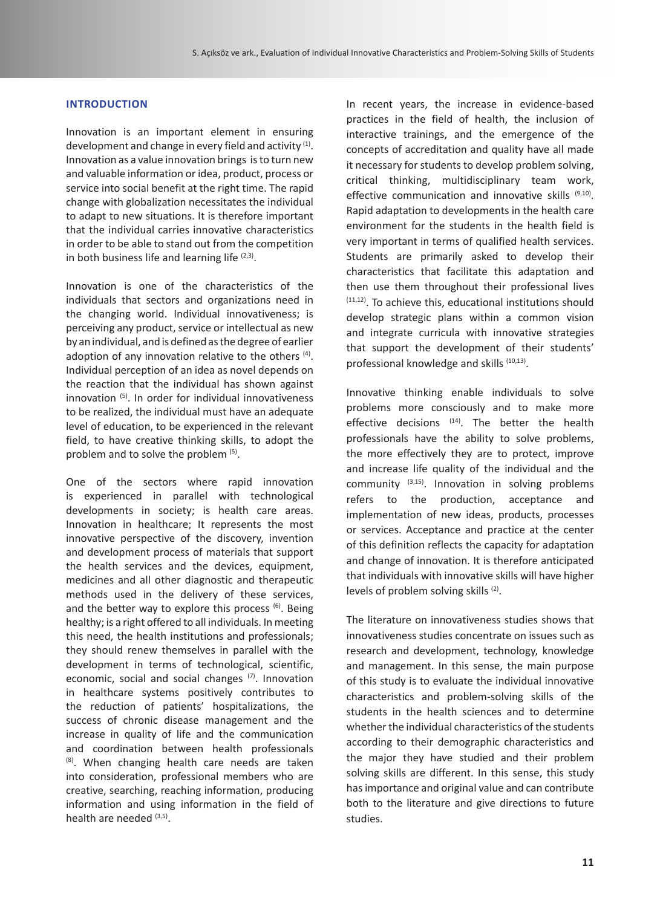# **INTRODUCTION**

Innovation is an important element in ensuring development and change in every field and activity (1). Innovation as a value innovation brings is to turn new and valuable information or idea, product, process or service into social benefit at the right time. The rapid change with globalization necessitates the individual to adapt to new situations. It is therefore important that the individual carries innovative characteristics in order to be able to stand out from the competition in both business life and learning life  $(2,3)$ .

Innovation is one of the characteristics of the individuals that sectors and organizations need in the changing world. Individual innovativeness; is perceiving any product, service or intellectual as new by an individual, and is defined as the degree of earlier adoption of any innovation relative to the others <sup>(4)</sup>. Individual perception of an idea as novel depends on the reaction that the individual has shown against innovation (5). In order for individual innovativeness to be realized, the individual must have an adequate level of education, to be experienced in the relevant field, to have creative thinking skills, to adopt the problem and to solve the problem (5).

One of the sectors where rapid innovation is experienced in parallel with technological developments in society; is health care areas. Innovation in healthcare; It represents the most innovative perspective of the discovery, invention and development process of materials that support the health services and the devices, equipment, medicines and all other diagnostic and therapeutic methods used in the delivery of these services, and the better way to explore this process  $(6)$ . Being healthy; is a right offered to all individuals. In meeting this need, the health institutions and professionals; they should renew themselves in parallel with the development in terms of technological, scientific, economic, social and social changes (7). Innovation in healthcare systems positively contributes to the reduction of patients' hospitalizations, the success of chronic disease management and the increase in quality of life and the communication and coordination between health professionals (8). When changing health care needs are taken into consideration, professional members who are creative, searching, reaching information, producing information and using information in the field of health are needed  $(3,5)$ .

In recent years, the increase in evidence-based practices in the field of health, the inclusion of interactive trainings, and the emergence of the concepts of accreditation and quality have all made it necessary for students to develop problem solving, critical thinking, multidisciplinary team work, effective communication and innovative skills (9,10). Rapid adaptation to developments in the health care environment for the students in the health field is very important in terms of qualified health services. Students are primarily asked to develop their characteristics that facilitate this adaptation and then use them throughout their professional lives  $(11,12)$ . To achieve this, educational institutions should develop strategic plans within a common vision and integrate curricula with innovative strategies that support the development of their students' professional knowledge and skills (10,13).

Innovative thinking enable individuals to solve problems more consciously and to make more effective decisions  $(14)$ . The better the health professionals have the ability to solve problems, the more effectively they are to protect, improve and increase life quality of the individual and the community  $(3,15)$ . Innovation in solving problems refers to the production, acceptance and implementation of new ideas, products, processes or services. Acceptance and practice at the center of this definition reflects the capacity for adaptation and change of innovation. It is therefore anticipated that individuals with innovative skills will have higher levels of problem solving skills (2).

The literature on innovativeness studies shows that innovativeness studies concentrate on issues such as research and development, technology, knowledge and management. In this sense, the main purpose of this study is to evaluate the individual innovative characteristics and problem-solving skills of the students in the health sciences and to determine whether the individual characteristics of the students according to their demographic characteristics and the major they have studied and their problem solving skills are different. In this sense, this study has importance and original value and can contribute both to the literature and give directions to future studies.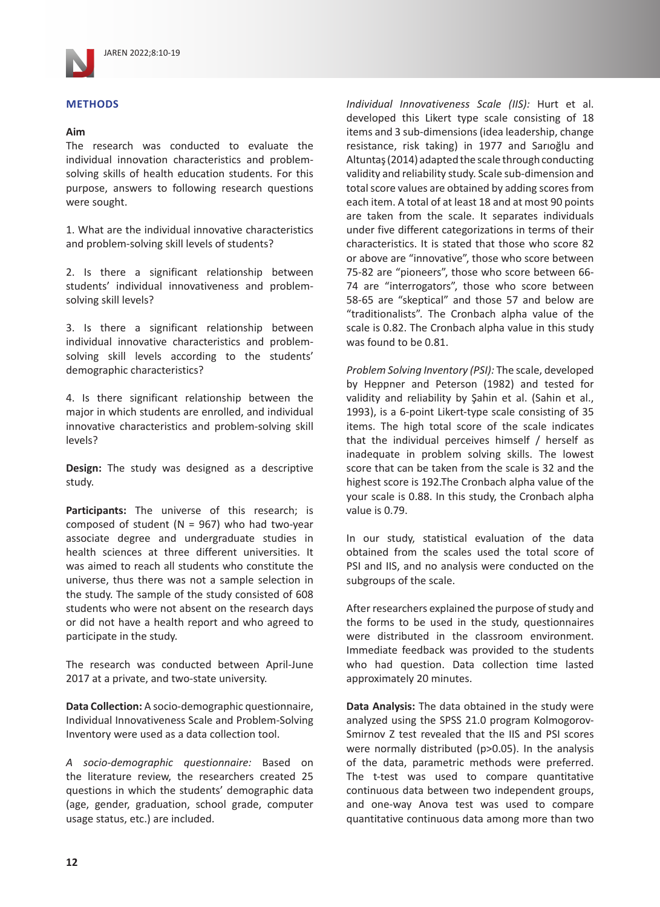

# **METHODS**

# **Aim**

The research was conducted to evaluate the individual innovation characteristics and problemsolving skills of health education students. For this purpose, answers to following research questions were sought.

1. What are the individual innovative characteristics and problem-solving skill levels of students?

2. Is there a significant relationship between students' individual innovativeness and problemsolving skill levels?

3. Is there a significant relationship between individual innovative characteristics and problemsolving skill levels according to the students' demographic characteristics?

4. Is there significant relationship between the major in which students are enrolled, and individual innovative characteristics and problem-solving skill levels?

**Design:** The study was designed as a descriptive study.

**Participants:** The universe of this research; is composed of student ( $N = 967$ ) who had two-year associate degree and undergraduate studies in health sciences at three different universities. It was aimed to reach all students who constitute the universe, thus there was not a sample selection in the study. The sample of the study consisted of 608 students who were not absent on the research days or did not have a health report and who agreed to participate in the study.

The research was conducted between April-June 2017 at a private, and two-state university.

**Data Collection:** A socio-demographic questionnaire, Individual Innovativeness Scale and Problem-Solving Inventory were used as a data collection tool.

*A socio-demographic questionnaire:* Based on the literature review, the researchers created 25 questions in which the students' demographic data (age, gender, graduation, school grade, computer usage status, etc.) are included.

*Individual Innovativeness Scale (IIS):* Hurt et al. developed this Likert type scale consisting of 18 items and 3 sub-dimensions (idea leadership, change resistance, risk taking) in 1977 and Sarıoğlu and Altuntaş (2014) adapted the scale through conducting validity and reliability study. Scale sub-dimension and total score values are obtained by adding scores from each item. A total of at least 18 and at most 90 points are taken from the scale. It separates individuals under five different categorizations in terms of their characteristics. It is stated that those who score 82 or above are "innovative", those who score between 75-82 are "pioneers", those who score between 66- 74 are "interrogators", those who score between 58-65 are "skeptical" and those 57 and below are "traditionalists". The Cronbach alpha value of the scale is 0.82. The Cronbach alpha value in this study was found to be 0.81.

*Problem Solving Inventory (PSI):* The scale, developed by Heppner and Peterson (1982) and tested for validity and reliability by Şahin et al. (Sahin et al., 1993), is a 6-point Likert-type scale consisting of 35 items. The high total score of the scale indicates that the individual perceives himself / herself as inadequate in problem solving skills. The lowest score that can be taken from the scale is 32 and the highest score is 192.The Cronbach alpha value of the your scale is 0.88. In this study, the Cronbach alpha value is 0.79.

In our study, statistical evaluation of the data obtained from the scales used the total score of PSI and IIS, and no analysis were conducted on the subgroups of the scale.

After researchers explained the purpose of study and the forms to be used in the study, questionnaires were distributed in the classroom environment. Immediate feedback was provided to the students who had question. Data collection time lasted approximately 20 minutes.

**Data Analysis:** The data obtained in the study were analyzed using the SPSS 21.0 program Kolmogorov-Smirnov Z test revealed that the IIS and PSI scores were normally distributed (p>0.05). In the analysis of the data, parametric methods were preferred. The t-test was used to compare quantitative continuous data between two independent groups, and one-way Anova test was used to compare quantitative continuous data among more than two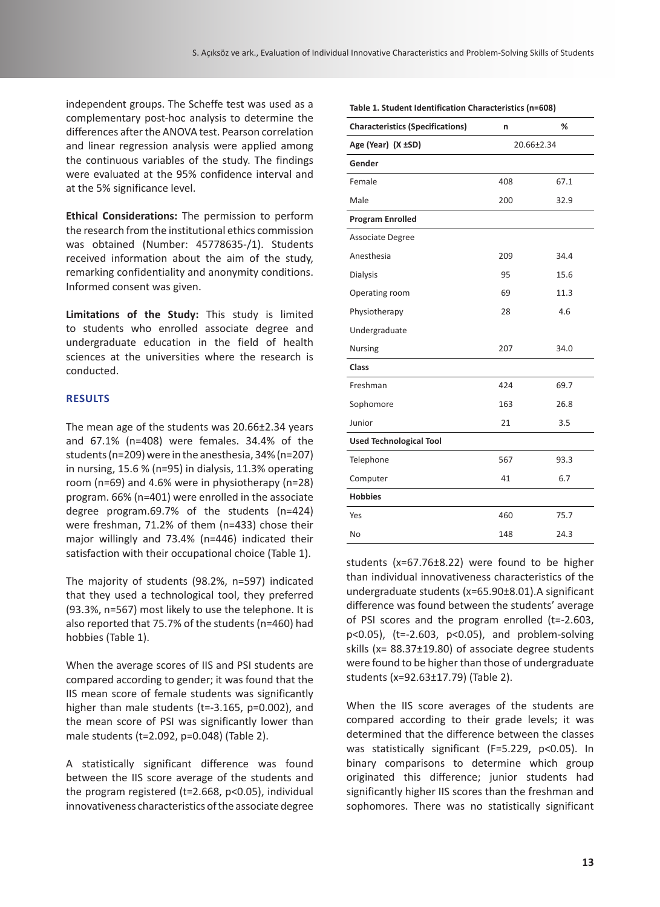independent groups. The Scheffe test was used as a complementary post-hoc analysis to determine the differences after the ANOVA test. Pearson correlation and linear regression analysis were applied among the continuous variables of the study. The findings were evaluated at the 95% confidence interval and at the 5% significance level.

**Ethical Considerations:** The permission to perform the research from the institutional ethics commission was obtained (Number: 45778635-/1). Students received information about the aim of the study, remarking confidentiality and anonymity conditions. Informed consent was given.

**Limitations of the Study:** This study is limited to students who enrolled associate degree and undergraduate education in the field of health sciences at the universities where the research is conducted.

# **RESULTS**

The mean age of the students was 20.66±2.34 years and 67.1% (n=408) were females. 34.4% of the students (n=209) were in the anesthesia, 34% (n=207) in nursing, 15.6 % (n=95) in dialysis, 11.3% operating room (n=69) and 4.6% were in physiotherapy (n=28) program. 66% (n=401) were enrolled in the associate degree program.69.7% of the students (n=424) were freshman, 71.2% of them (n=433) chose their major willingly and 73.4% (n=446) indicated their satisfaction with their occupational choice (Table 1).

The majority of students (98.2%, n=597) indicated that they used a technological tool, they preferred (93.3%, n=567) most likely to use the telephone. It is also reported that 75.7% of the students (n=460) had hobbies (Table 1).

When the average scores of IIS and PSI students are compared according to gender; it was found that the IIS mean score of female students was significantly higher than male students (t=-3.165, p=0.002), and the mean score of PSI was significantly lower than male students (t=2.092, p=0.048) (Table 2).

A statistically significant difference was found between the IIS score average of the students and the program registered (t=2.668, p<0.05), individual innovativeness characteristics of the associate degree

| <b>Characteristics (Specifications)</b> | n          | %    |  |  |
|-----------------------------------------|------------|------|--|--|
| Age (Year) (X ±SD)                      | 20.66±2.34 |      |  |  |
| Gender                                  |            |      |  |  |
| Female                                  | 408        | 67.1 |  |  |
| Male                                    | 200        | 32.9 |  |  |
| <b>Program Enrolled</b>                 |            |      |  |  |
| Associate Degree                        |            |      |  |  |
| Anesthesia                              | 209        | 34.4 |  |  |
| <b>Dialysis</b>                         | 95         | 15.6 |  |  |
| Operating room                          | 69         | 11.3 |  |  |
| Physiotherapy                           | 28         | 4.6  |  |  |
| Undergraduate                           |            |      |  |  |
| <b>Nursing</b>                          | 207        | 34.0 |  |  |
| Class                                   |            |      |  |  |
| Freshman                                | 424        | 69.7 |  |  |
| Sophomore                               | 163        | 26.8 |  |  |
| Junior                                  | 21         | 3.5  |  |  |
| <b>Used Technological Tool</b>          |            |      |  |  |
| Telephone                               | 567        | 93.3 |  |  |
| Computer                                | 41         | 6.7  |  |  |
| <b>Hobbies</b>                          |            |      |  |  |
| Yes                                     | 460        | 75.7 |  |  |
| No                                      | 148        | 24.3 |  |  |
|                                         |            |      |  |  |

**Table 1. Student Identification Characteristics (n=608)**

students (x=67.76±8.22) were found to be higher than individual innovativeness characteristics of the undergraduate students (x=65.90±8.01).A significant difference was found between the students' average of PSI scores and the program enrolled (t=-2.603, p<0.05), (t=-2.603, p<0.05), and problem-solving skills (x= 88.37±19.80) of associate degree students were found to be higher than those of undergraduate students (x=92.63±17.79) (Table 2).

When the IIS score averages of the students are compared according to their grade levels; it was determined that the difference between the classes was statistically significant (F=5.229, p<0.05). In binary comparisons to determine which group originated this difference; junior students had significantly higher IIS scores than the freshman and sophomores. There was no statistically significant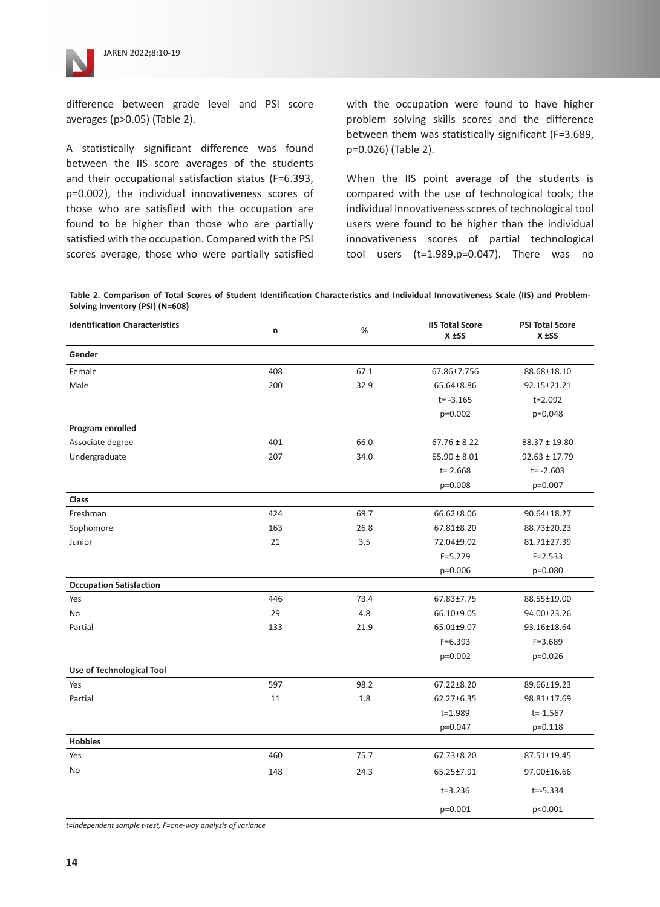

difference between grade level and PSI score averages (p>0.05) (Table 2).

A statistically significant difference was found between the IIS score averages of the students and their occupational satisfaction status (F=6.393, p=0.002), the individual innovativeness scores of those who are satisfied with the occupation are found to be higher than those who are partially satisfied with the occupation. Compared with the PSI scores average, those who were partially satisfied

with the occupation were found to have higher problem solving skills scores and the difference between them was statistically significant (F=3.689, p=0.026) (Table 2).

When the IIS point average of the students is compared with the use of technological tools; the individual innovativeness scores of technological tool users were found to be higher than the individual innovativeness scores of partial technological tool users (t=1.989,p=0.047). There was no

**Table 2. Comparison of Total Scores of Student Identification Characteristics and Individual Innovativeness Scale (IIS) and Problem-Solving Inventory (PSI) (N=608)**

| <b>Identification Characteristics</b> | n   | %    | <b>IIS Total Score</b><br>$X$ $\pm$ SS | <b>PSI Total Score</b><br>$X$ $\pm$ SS |
|---------------------------------------|-----|------|----------------------------------------|----------------------------------------|
| Gender                                |     |      |                                        |                                        |
| Female                                | 408 | 67.1 | 67.86±7.756                            | 88.68±18.10                            |
| Male                                  | 200 | 32.9 | 65.64±8.86                             | 92.15±21.21                            |
|                                       |     |      | $t = -3.165$                           | $t = 2.092$                            |
|                                       |     |      | p=0.002                                | p=0.048                                |
| Program enrolled                      |     |      |                                        |                                        |
| Associate degree                      | 401 | 66.0 | $67.76 \pm 8.22$                       | $88.37 \pm 19.80$                      |
| Undergraduate                         | 207 | 34.0 | $65.90 \pm 8.01$                       | $92.63 \pm 17.79$                      |
|                                       |     |      | $t = 2.668$                            | $t = -2.603$                           |
|                                       |     |      | p=0.008                                | p=0.007                                |
| <b>Class</b>                          |     |      |                                        |                                        |
| Freshman                              | 424 | 69.7 | 66.62±8.06                             | 90.64±18.27                            |
| Sophomore                             | 163 | 26.8 | 67.81±8.20                             | 88.73±20.23                            |
| Junior                                | 21  | 3.5  | 72.04±9.02                             | 81.71±27.39                            |
|                                       |     |      | $F = 5.229$                            | $F = 2.533$                            |
|                                       |     |      | $p=0.006$                              | p=0.080                                |
| <b>Occupation Satisfaction</b>        |     |      |                                        |                                        |
| Yes                                   | 446 | 73.4 | 67.83±7.75                             | 88.55±19.00                            |
| <b>No</b>                             | 29  | 4.8  | 66.10±9.05                             | 94.00±23.26                            |
| Partial                               | 133 | 21.9 | 65.01±9.07                             | 93.16±18.64                            |
|                                       |     |      | $F = 6.393$                            | $F = 3.689$                            |
|                                       |     |      | $p=0.002$                              | p=0.026                                |
| Use of Technological Tool             |     |      |                                        |                                        |
| Yes                                   | 597 | 98.2 | 67.22±8.20                             | 89.66±19.23                            |
| Partial                               | 11  | 1.8  | 62.27±6.35                             | 98.81±17.69                            |
|                                       |     |      | t=1.989                                | $t = -1.567$                           |
|                                       |     |      | p=0.047                                | p=0.118                                |
| <b>Hobbies</b>                        |     |      |                                        |                                        |
| Yes                                   | 460 | 75.7 | 67.73±8.20                             | 87.51±19.45                            |
| No                                    | 148 | 24.3 | 65.25±7.91                             | 97.00±16.66                            |
|                                       |     |      | $t = 3.236$                            | $t = -5.334$                           |
|                                       |     |      | p=0.001                                | p<0.001                                |

*t=independent sample t-test, F=one-way analysis of variance*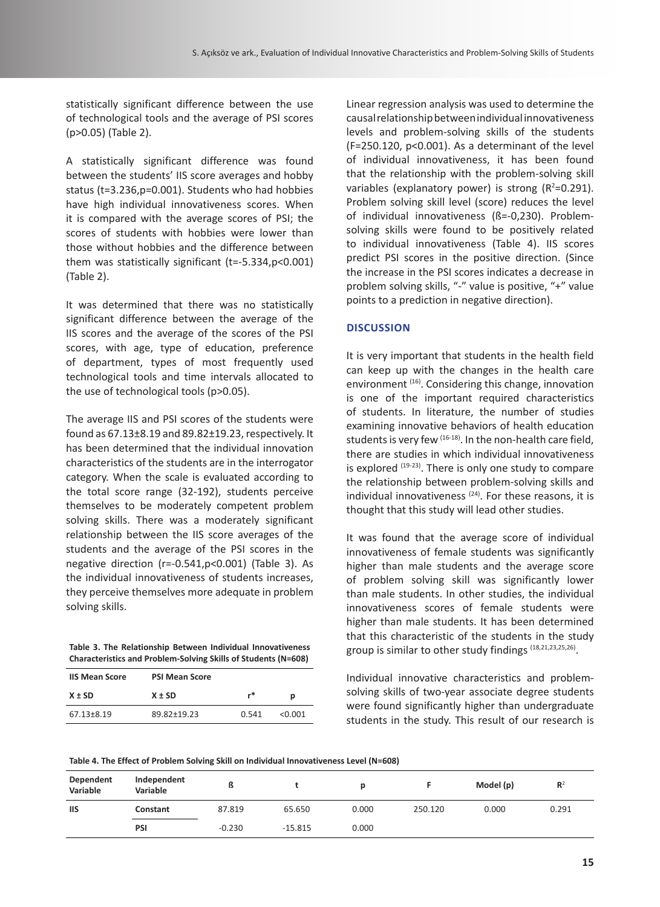statistically significant difference between the use of technological tools and the average of PSI scores (p>0.05) (Table 2).

A statistically significant difference was found between the students' IIS score averages and hobby status (t=3.236,p=0.001). Students who had hobbies have high individual innovativeness scores. When it is compared with the average scores of PSI; the scores of students with hobbies were lower than those without hobbies and the difference between them was statistically significant (t=-5.334,p<0.001) (Table 2).

It was determined that there was no statistically significant difference between the average of the IIS scores and the average of the scores of the PSI scores, with age, type of education, preference of department, types of most frequently used technological tools and time intervals allocated to the use of technological tools (p>0.05).

The average IIS and PSI scores of the students were found as 67.13±8.19 and 89.82±19.23, respectively. It has been determined that the individual innovation characteristics of the students are in the interrogator category. When the scale is evaluated according to the total score range (32-192), students perceive themselves to be moderately competent problem solving skills. There was a moderately significant relationship between the IIS score averages of the students and the average of the PSI scores in the negative direction (r=-0.541,p<0.001) (Table 3). As the individual innovativeness of students increases, they perceive themselves more adequate in problem solving skills.

**Table 3. The Relationship Between Individual Innovativeness Characteristics and Problem-Solving Skills of Students (N=608)**

| <b>IIS Mean Score</b> | <b>PSI Mean Score</b> |         |         |
|-----------------------|-----------------------|---------|---------|
| $X \pm SD$            | $X \pm SD$            | r*<br>р |         |
| 67.13±8.19            | 89.82±19.23           | 0.541   | < 0.001 |

Linear regression analysis was used to determine the causal relationship between individual innovativeness levels and problem-solving skills of the students (F=250.120, p<0.001). As a determinant of the level of individual innovativeness, it has been found that the relationship with the problem-solving skill variables (explanatory power) is strong  $(R^2=0.291)$ . Problem solving skill level (score) reduces the level of individual innovativeness (ß=-0,230). Problemsolving skills were found to be positively related to individual innovativeness (Table 4). IIS scores predict PSI scores in the positive direction. (Since the increase in the PSI scores indicates a decrease in problem solving skills, "-" value is positive, "+" value points to a prediction in negative direction).

# **DISCUSSION**

It is very important that students in the health field can keep up with the changes in the health care environment (16). Considering this change, innovation is one of the important required characteristics of students. In literature, the number of studies examining innovative behaviors of health education students is very few <sup>(16-18)</sup>. In the non-health care field, there are studies in which individual innovativeness is explored (19-23). There is only one study to compare the relationship between problem-solving skills and individual innovativeness  $(24)$ . For these reasons, it is thought that this study will lead other studies.

It was found that the average score of individual innovativeness of female students was significantly higher than male students and the average score of problem solving skill was significantly lower than male students. In other studies, the individual innovativeness scores of female students were higher than male students. It has been determined that this characteristic of the students in the study group is similar to other study findings (18,21,23,25,26).

Individual innovative characteristics and problemsolving skills of two-year associate degree students were found significantly higher than undergraduate students in the study. This result of our research is

**Table 4. The Effect of Problem Solving Skill on Individual Innovativeness Level (N=608)**

| Dependent<br>Variable | Independent<br>Variable | ß        |           |       |         | Model (p) | R <sup>2</sup> |
|-----------------------|-------------------------|----------|-----------|-------|---------|-----------|----------------|
| <b>IIS</b>            | Constant                | 87.819   | 65.650    | 0.000 | 250.120 | 0.000     | 0.291          |
|                       | PSI                     | $-0.230$ | $-15.815$ | 0.000 |         |           |                |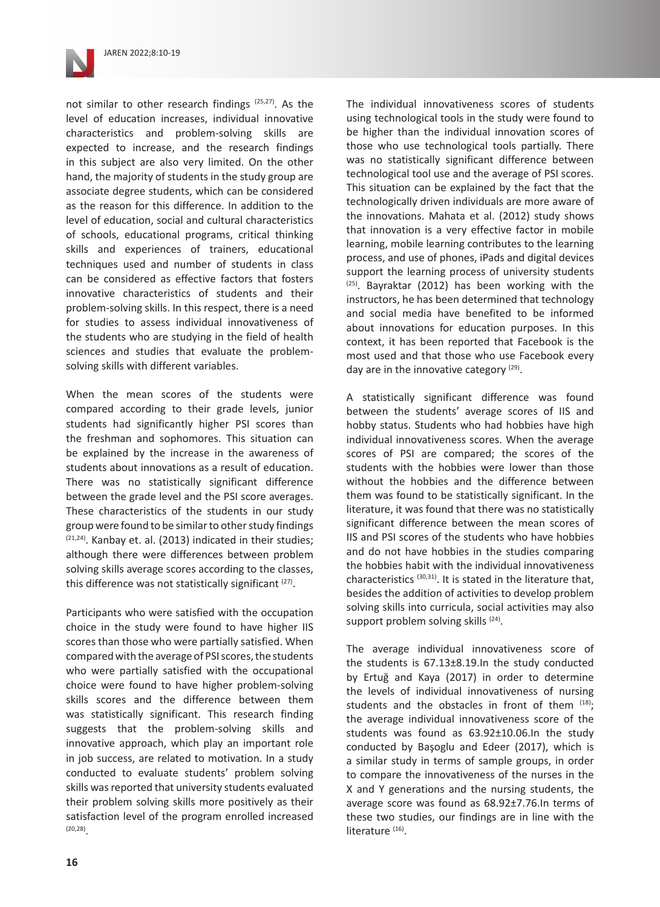

not similar to other research findings (25,27). As the level of education increases, individual innovative characteristics and problem-solving skills are expected to increase, and the research findings in this subject are also very limited. On the other hand, the majority of students in the study group are associate degree students, which can be considered as the reason for this difference. In addition to the level of education, social and cultural characteristics of schools, educational programs, critical thinking skills and experiences of trainers, educational techniques used and number of students in class can be considered as effective factors that fosters innovative characteristics of students and their problem-solving skills. In this respect, there is a need for studies to assess individual innovativeness of the students who are studying in the field of health sciences and studies that evaluate the problemsolving skills with different variables.

When the mean scores of the students were compared according to their grade levels, junior students had significantly higher PSI scores than the freshman and sophomores. This situation can be explained by the increase in the awareness of students about innovations as a result of education. There was no statistically significant difference between the grade level and the PSI score averages. These characteristics of the students in our study group were found to be similar to other study findings  $(21,24)$ . Kanbay et. al. (2013) indicated in their studies; although there were differences between problem solving skills average scores according to the classes, this difference was not statistically significant  $(27)$ .

Participants who were satisfied with the occupation choice in the study were found to have higher IIS scores than those who were partially satisfied. When compared with the average of PSI scores, the students who were partially satisfied with the occupational choice were found to have higher problem-solving skills scores and the difference between them was statistically significant. This research finding suggests that the problem-solving skills and innovative approach, which play an important role in job success, are related to motivation. In a study conducted to evaluate students' problem solving skills was reported that university students evaluated their problem solving skills more positively as their satisfaction level of the program enrolled increased  $(20, 28)$ 

The individual innovativeness scores of students using technological tools in the study were found to be higher than the individual innovation scores of those who use technological tools partially. There was no statistically significant difference between technological tool use and the average of PSI scores. This situation can be explained by the fact that the technologically driven individuals are more aware of the innovations. Mahata et al. (2012) study shows that innovation is a very effective factor in mobile learning, mobile learning contributes to the learning process, and use of phones, iPads and digital devices support the learning process of university students (25). Bayraktar (2012) has been working with the instructors, he has been determined that technology and social media have benefited to be informed about innovations for education purposes. In this context, it has been reported that Facebook is the most used and that those who use Facebook every day are in the innovative category  $(29)$ .

A statistically significant difference was found between the students' average scores of IIS and hobby status. Students who had hobbies have high individual innovativeness scores. When the average scores of PSI are compared; the scores of the students with the hobbies were lower than those without the hobbies and the difference between them was found to be statistically significant. In the literature, it was found that there was no statistically significant difference between the mean scores of IIS and PSI scores of the students who have hobbies and do not have hobbies in the studies comparing the hobbies habit with the individual innovativeness characteristics (30,31). It is stated in the literature that, besides the addition of activities to develop problem solving skills into curricula, social activities may also support problem solving skills <sup>(24)</sup>.

The average individual innovativeness score of the students is 67.13±8.19.In the study conducted by Ertuğ and Kaya (2017) in order to determine the levels of individual innovativeness of nursing students and the obstacles in front of them  $(18)$ ; the average individual innovativeness score of the students was found as 63.92±10.06.In the study conducted by Başoglu and Edeer (2017), which is a similar study in terms of sample groups, in order to compare the innovativeness of the nurses in the X and Y generations and the nursing students, the average score was found as 68.92±7.76.In terms of these two studies, our findings are in line with the literature<sup>(16)</sup>.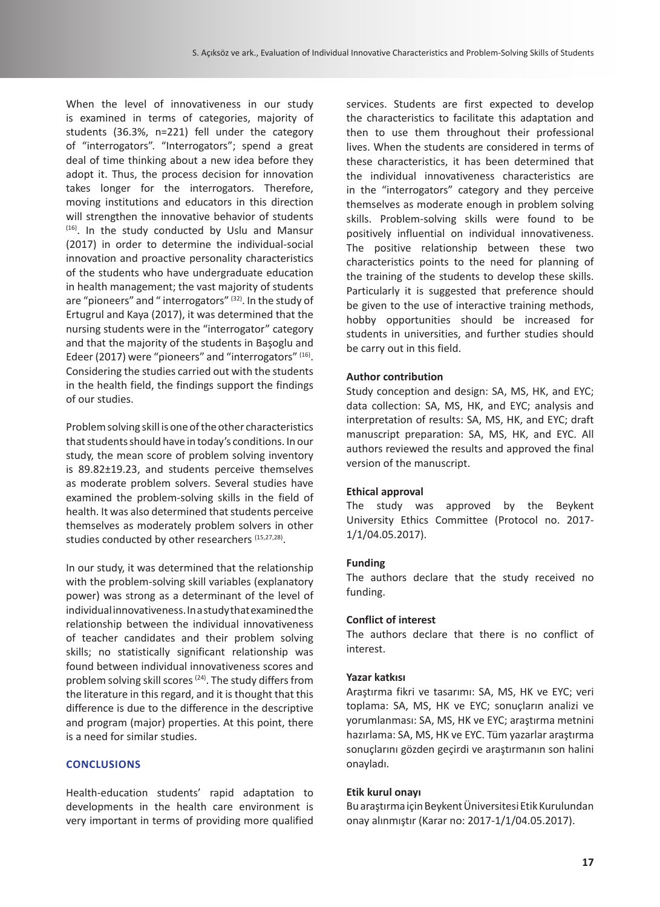When the level of innovativeness in our study is examined in terms of categories, majority of students (36.3%, n=221) fell under the category of "interrogators". "Interrogators"; spend a great deal of time thinking about a new idea before they adopt it. Thus, the process decision for innovation takes longer for the interrogators. Therefore, moving institutions and educators in this direction will strengthen the innovative behavior of students  $(16)$ . In the study conducted by Uslu and Mansur (2017) in order to determine the individual-social innovation and proactive personality characteristics of the students who have undergraduate education in health management; the vast majority of students are "pioneers" and " interrogators" (32). In the study of Ertugrul and Kaya (2017), it was determined that the nursing students were in the "interrogator" category and that the majority of the students in Başoglu and Edeer (2017) were "pioneers" and "interrogators" (16). Considering the studies carried out with the students in the health field, the findings support the findings of our studies.

Problem solving skill is one of the other characteristics that students should have in today's conditions. In our study, the mean score of problem solving inventory is 89.82±19.23, and students perceive themselves as moderate problem solvers. Several studies have examined the problem-solving skills in the field of health. It was also determined that students perceive themselves as moderately problem solvers in other studies conducted by other researchers (15,27,28).

In our study, it was determined that the relationship with the problem-solving skill variables (explanatory power) was strong as a determinant of the level of individual innovativeness. In a study that examined the relationship between the individual innovativeness of teacher candidates and their problem solving skills; no statistically significant relationship was found between individual innovativeness scores and problem solving skill scores<sup>(24)</sup>. The study differs from the literature in this regard, and it is thought that this difference is due to the difference in the descriptive and program (major) properties. At this point, there is a need for similar studies.

# **CONCLUSIONS**

Health-education students' rapid adaptation to developments in the health care environment is very important in terms of providing more qualified services. Students are first expected to develop the characteristics to facilitate this adaptation and then to use them throughout their professional lives. When the students are considered in terms of these characteristics, it has been determined that the individual innovativeness characteristics are in the "interrogators" category and they perceive themselves as moderate enough in problem solving skills. Problem-solving skills were found to be positively influential on individual innovativeness. The positive relationship between these two characteristics points to the need for planning of the training of the students to develop these skills. Particularly it is suggested that preference should be given to the use of interactive training methods, hobby opportunities should be increased for students in universities, and further studies should be carry out in this field.

#### **Author contribution**

Study conception and design: SA, MS, HK, and EYC; data collection: SA, MS, HK, and EYC; analysis and interpretation of results: SA, MS, HK, and EYC; draft manuscript preparation: SA, MS, HK, and EYC. All authors reviewed the results and approved the final version of the manuscript.

#### **Ethical approval**

The study was approved by the Beykent University Ethics Committee (Protocol no. 2017- 1/1/04.05.2017).

#### **Funding**

The authors declare that the study received no funding.

#### **Conflict of interest**

The authors declare that there is no conflict of interest.

### **Yazar katkısı**

Araştırma fikri ve tasarımı: SA, MS, HK ve EYC; veri toplama: SA, MS, HK ve EYC; sonuçların analizi ve yorumlanması: SA, MS, HK ve EYC; araştırma metnini hazırlama: SA, MS, HK ve EYC. Tüm yazarlar araştırma sonuçlarını gözden geçirdi ve araştırmanın son halini onayladı.

#### **Etik kurul onayı**

Bu araştırma için Beykent Üniversitesi Etik Kurulundan onay alınmıştır (Karar no: 2017-1/1/04.05.2017).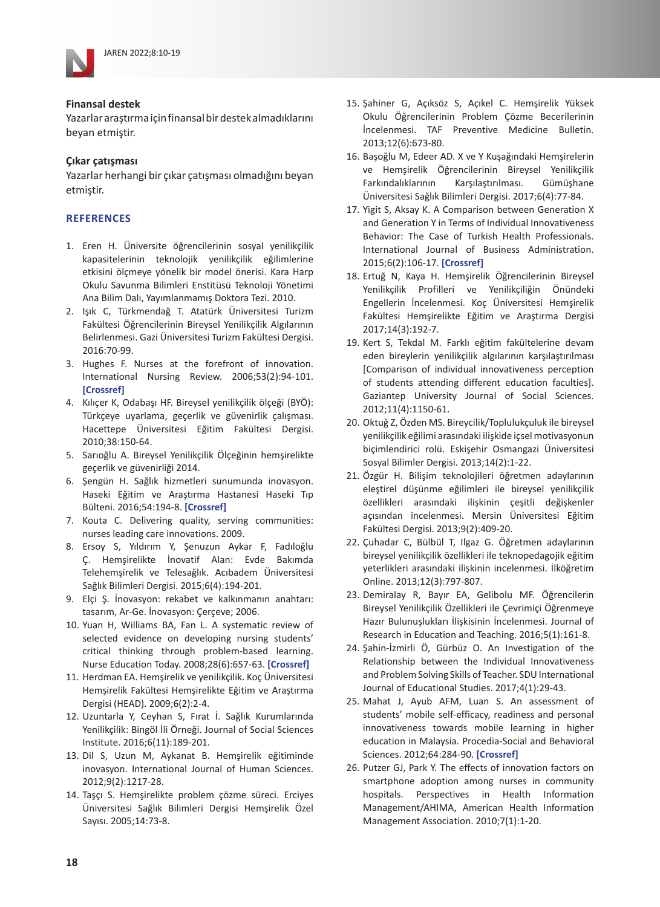

#### **Finansal destek**

Yazarlar araştırma için finansal bir destek almadıklarını beyan etmiştir.

# **Çıkar çatışması**

Yazarlar herhangi bir çıkar çatışması olmadığını beyan etmistir.

# **REFERENCES**

- 1. Eren H. Üniversite öğrencilerinin sosyal yenilikçilik kapasitelerinin teknolojik yenilikçilik eğilimlerine etkisini ölçmeye yönelik bir model önerisi. Kara Harp Okulu Savunma Bilimleri Enstitüsü Teknoloji Yönetimi Ana Bilim Dalı, Yayımlanmamış Doktora Tezi. 2010.
- 2. Işık C, Türkmendağ T. Atatürk Üniversitesi Turizm Fakültesi Öğrencilerinin Bireysel Yenilikçilik Algılarının Belirlenmesi. Gazi Üniversitesi Turizm Fakültesi Dergisi. 2016:70-99.
- 3. Hughes F. Nurses at the forefront of innovation. International Nursing Review. 2006;53(2):94-101. **[\[Crossref\]](https://doi.org/10.1111/j.1466-7657.2006.00463.x)**
- 4. Kılıçer K, Odabaşı HF. Bireysel yenilikçilik ölçeği (BYÖ): Türkçeye uyarlama, geçerlik ve güvenirlik çalışması. Hacettepe Üniversitesi Eğitim Fakültesi Dergisi. 2010;38:150-64.
- 5. Sarıoğlu A. Bireysel Yenilikçilik Ölçeğinin hemşirelikte geçerlik ve güvenirliği 2014.
- 6. Şengün H. Sağlık hizmetleri sunumunda inovasyon. Haseki Eğitim ve Araştırma Hastanesi Haseki Tıp Bülteni. 2016;54:194-8. **[\[Crossref\]](https://doi.org/10.4274/haseki.3057)**
- 7. Kouta C. Delivering quality, serving communities: nurses leading care innovations. 2009.
- 8. Ersoy S, Yıldırım Y, Şenuzun Aykar F, Fadıloğlu Ç. Hemşirelikte İnovatif Alan: Evde Bakımda Telehemşirelik ve Telesağlık. Acıbadem Üniversitesi Sağlık Bilimleri Dergisi. 2015;6(4):194-201.
- 9. Elçi Ş. İnovasyon: rekabet ve kalkınmanın anahtarı: tasarım, Ar-Ge. İnovasyon: Çerçeve; 2006.
- 10. Yuan H, Williams BA, Fan L. A systematic review of selected evidence on developing nursing students' critical thinking through problem-based learning. Nurse Education Today. 2008;28(6):657-63. **[\[Crossref\]](https://doi.org/10.1016/j.nedt.2007.12.006)**
- 11. Herdman EA. Hemşirelik ve yenilikçilik. Koç Üniversitesi Hemşirelik Fakültesi Hemşirelikte Eğitim ve Araştırma Dergisi (HEAD). 2009;6(2):2-4.
- 12. Uzuntarla Y, Ceyhan S, Fırat İ. Sağlık Kurumlarında Yenilikçilik: Bingöl İli Örneği. Journal of Social Sciences Institute. 2016;6(11):189-201.
- 13. Dil S, Uzun M, Aykanat B. Hemşirelik eğitiminde inovasyon. International Journal of Human Sciences. 2012;9(2):1217-28.
- 14. Taşçı S. Hemşirelikte problem çözme süreci. Erciyes Üniversitesi Sağlık Bilimleri Dergisi Hemşirelik Özel Sayısı. 2005;14:73-8.
- 15. Şahiner G, Açıksöz S, Açıkel C. Hemşirelik Yüksek Okulu Öğrencilerinin Problem Çözme Becerilerinin İncelenmesi. TAF Preventive Medicine Bulletin. 2013;12(6):673-80.
- 16. Başoğlu M, Edeer AD. X ve Y Kuşağındaki Hemşirelerin ve Hemşirelik Öğrencilerinin Bireysel Yenilikçilik Farkındalıklarının Karşılaştırılması. Gümüşhane Üniversitesi Sağlık Bilimleri Dergisi. 2017;6(4):77-84.
- 17. Yigit S, Aksay K. A Comparison between Generation X and Generation Y in Terms of Individual Innovativeness Behavior: The Case of Turkish Health Professionals. International Journal of Business Administration. 2015;6(2):106-17. **[\[Crossref\]](https://doi.org/10.5430/ijba.v6n2p106)**
- 18. Ertuğ N, Kaya H. Hemşirelik Öğrencilerinin Bireysel Yenilikçilik Profilleri ve Yenilikçiliğin Önündeki Engellerin İncelenmesi. Koç Üniversitesi Hemşirelik Fakültesi Hemşirelikte Eğitim ve Araştırma Dergisi 2017;14(3):192-7.
- 19. Kert S, Tekdal M. Farklı eğitim fakültelerine devam eden bireylerin yenilikçilik algılarının karşılaştırılması [Comparison of individual innovativeness perception of students attending different education faculties]. Gaziantep University Journal of Social Sciences. 2012;11(4):1150-61.
- 20. Oktuğ Z, Özden MS. Bireycilik/Toplulukçuluk ile bireysel yenilikçilik eğilimi arasındaki ilişkide içsel motivasyonun biçimlendirici rolü. Eskişehir Osmangazi Üniversitesi Sosyal Bilimler Dergisi. 2013;14(2):1-22.
- 21. Özgür H. Bilişim teknolojileri öğretmen adaylarının eleştirel düşünme eğilimleri ile bireysel yenilikçilik özellikleri arasındaki ilişkinin çeşitli değişkenler açısından incelenmesi. Mersin Üniversitesi Eğitim Fakültesi Dergisi. 2013;9(2):409-20.
- 22. Çuhadar C, Bülbül T, Ilgaz G. Öğretmen adaylarının bireysel yenilikçilik özellikleri ile teknopedagojik eğitim yeterlikleri arasındaki ilişkinin incelenmesi. İlköğretim Online. 2013;12(3):797-807.
- 23. Demiralay R, Bayır EA, Gelibolu MF. Öğrencilerin Bireysel Yenilikçilik Özellikleri ile Çevrimiçi Öğrenmeye Hazır Bulunuşlukları İlişkisinin İncelenmesi. Journal of Research in Education and Teaching. 2016;5(1):161-8.
- 24. Şahin-İzmirli Ö, Gürbüz O. An Investigation of the Relationship between the Individual Innovativeness and Problem Solving Skills of Teacher. SDU International Journal of Educational Studies. 2017;4(1):29-43.
- 25. Mahat J, Ayub AFM, Luan S. An assessment of students' mobile self-efficacy, readiness and personal innovativeness towards mobile learning in higher education in Malaysia. Procedia-Social and Behavioral Sciences. 2012;64:284-90. **[\[Crossref\]](https://doi.org/10.1016/j.sbspro.2012.11.033)**
- 26. Putzer GJ, Park Y. The effects of innovation factors on smartphone adoption among nurses in community hospitals. Perspectives in Health Information Management/AHIMA, American Health Information Management Association. 2010;7(1):1-20.